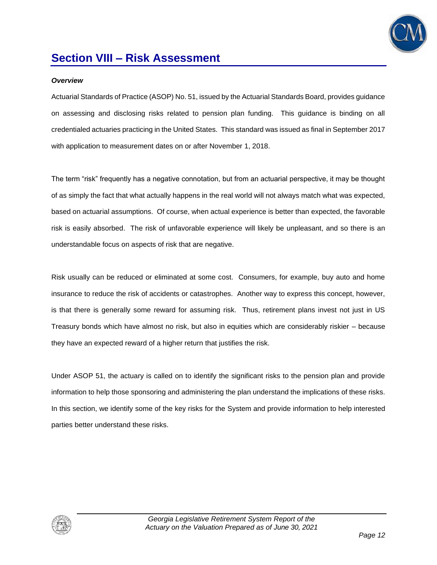

### **Section VIII – Risk Assessment**

#### *Overview*

Actuarial Standards of Practice (ASOP) No. 51, issued by the Actuarial Standards Board, provides guidance on assessing and disclosing risks related to pension plan funding. This guidance is binding on all credentialed actuaries practicing in the United States. This standard was issued as final in September 2017 with application to measurement dates on or after November 1, 2018.

The term "risk" frequently has a negative connotation, but from an actuarial perspective, it may be thought of as simply the fact that what actually happens in the real world will not always match what was expected, based on actuarial assumptions. Of course, when actual experience is better than expected, the favorable risk is easily absorbed. The risk of unfavorable experience will likely be unpleasant, and so there is an understandable focus on aspects of risk that are negative.

Risk usually can be reduced or eliminated at some cost. Consumers, for example, buy auto and home insurance to reduce the risk of accidents or catastrophes. Another way to express this concept, however, is that there is generally some reward for assuming risk. Thus, retirement plans invest not just in US Treasury bonds which have almost no risk, but also in equities which are considerably riskier – because they have an expected reward of a higher return that justifies the risk.

Under ASOP 51, the actuary is called on to identify the significant risks to the pension plan and provide information to help those sponsoring and administering the plan understand the implications of these risks. In this section, we identify some of the key risks for the System and provide information to help interested parties better understand these risks.

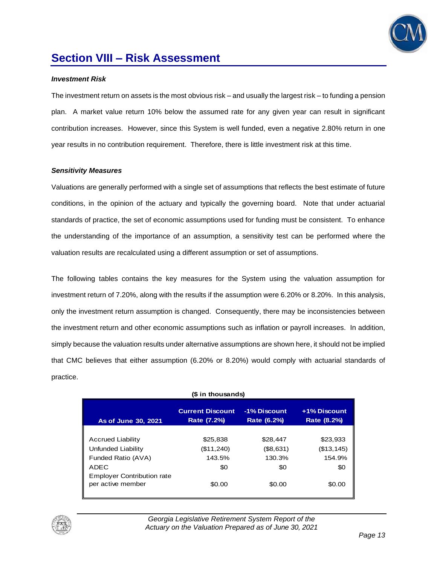

### **Section VIII – Risk Assessment**

#### *Investment Risk*

The investment return on assets is the most obvious risk – and usually the largest risk – to funding a pension plan. A market value return 10% below the assumed rate for any given year can result in significant contribution increases. However, since this System is well funded, even a negative 2.80% return in one year results in no contribution requirement. Therefore, there is little investment risk at this time.

#### *Sensitivity Measures*

Valuations are generally performed with a single set of assumptions that reflects the best estimate of future conditions, in the opinion of the actuary and typically the governing board. Note that under actuarial standards of practice, the set of economic assumptions used for funding must be consistent. To enhance the understanding of the importance of an assumption, a sensitivity test can be performed where the valuation results are recalculated using a different assumption or set of assumptions.

The following tables contains the key measures for the System using the valuation assumption for investment return of 7.20%, along with the results if the assumption were 6.20% or 8.20%. In this analysis, only the investment return assumption is changed. Consequently, there may be inconsistencies between the investment return and other economic assumptions such as inflation or payroll increases. In addition, simply because the valuation results under alternative assumptions are shown here, it should not be implied that CMC believes that either assumption (6.20% or 8.20%) would comply with actuarial standards of practice.

| (\$ in thousands)                                                                                                                      |                                                   |                                                  |                                                    |  |
|----------------------------------------------------------------------------------------------------------------------------------------|---------------------------------------------------|--------------------------------------------------|----------------------------------------------------|--|
| As of June 30, 2021                                                                                                                    | <b>Current Discount</b><br>Rate (7.2%)            | -1% Discount<br>Rate (6.2%)                      | +1% Discount<br>Rate (8.2%)                        |  |
| <b>Accrued Liability</b><br>Unfunded Liability<br>Funded Ratio (AVA)<br>ADEC<br><b>Employer Contribution rate</b><br>per active member | \$25.838<br>(\$11,240)<br>143.5%<br>\$0<br>\$0.00 | \$28,447<br>(\$8,631)<br>130.3%<br>\$0<br>\$0.00 | \$23,933<br>(\$13, 145)<br>154.9%<br>\$0<br>\$0.00 |  |

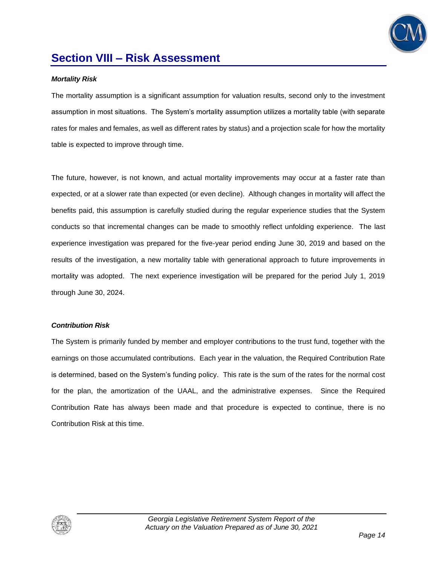

### **Section VIII – Risk Assessment**

#### *Mortality Risk*

The mortality assumption is a significant assumption for valuation results, second only to the investment assumption in most situations. The System's mortality assumption utilizes a mortality table (with separate rates for males and females, as well as different rates by status) and a projection scale for how the mortality table is expected to improve through time.

The future, however, is not known, and actual mortality improvements may occur at a faster rate than expected, or at a slower rate than expected (or even decline). Although changes in mortality will affect the benefits paid, this assumption is carefully studied during the regular experience studies that the System conducts so that incremental changes can be made to smoothly reflect unfolding experience. The last experience investigation was prepared for the five-year period ending June 30, 2019 and based on the results of the investigation, a new mortality table with generational approach to future improvements in mortality was adopted. The next experience investigation will be prepared for the period July 1, 2019 through June 30, 2024.

#### *Contribution Risk*

The System is primarily funded by member and employer contributions to the trust fund, together with the earnings on those accumulated contributions. Each year in the valuation, the Required Contribution Rate is determined, based on the System's funding policy. This rate is the sum of the rates for the normal cost for the plan, the amortization of the UAAL, and the administrative expenses. Since the Required Contribution Rate has always been made and that procedure is expected to continue, there is no Contribution Risk at this time.

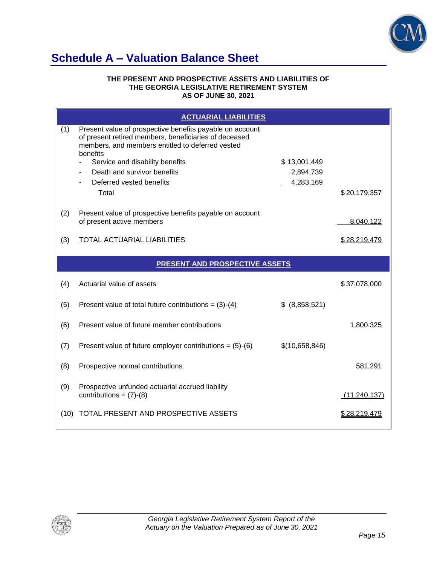

## **Schedule A – Valuation Balance Sheet**

#### **THE PRESENT AND PROSPECTIVE ASSETS AND LIABILITIES OF THE GEORGIA LEGISLATIVE RETIREMENT SYSTEM AS OF JUNE 30, 2021**

|     | <b>ACTUARIAL LIABILITIES</b>                                                                                                                                                      |                |                |
|-----|-----------------------------------------------------------------------------------------------------------------------------------------------------------------------------------|----------------|----------------|
| (1) | Present value of prospective benefits payable on account<br>of present retired members, beneficiaries of deceased<br>members, and members entitled to deferred vested<br>benefits |                |                |
|     | Service and disability benefits                                                                                                                                                   | \$13,001,449   |                |
|     | Death and survivor benefits                                                                                                                                                       | 2,894,739      |                |
|     | Deferred vested benefits<br>Total                                                                                                                                                 | 4,283,169      | \$20,179,357   |
|     |                                                                                                                                                                                   |                |                |
| (2) | Present value of prospective benefits payable on account                                                                                                                          |                |                |
|     | of present active members                                                                                                                                                         |                | 8,040,122      |
| (3) | <b>TOTAL ACTUARIAL LIABILITIES</b>                                                                                                                                                |                | \$28,219,479   |
|     |                                                                                                                                                                                   |                |                |
|     | <b>PRESENT AND PROSPECTIVE ASSETS</b>                                                                                                                                             |                |                |
|     |                                                                                                                                                                                   |                |                |
| (4) | Actuarial value of assets                                                                                                                                                         |                | \$37,078,000   |
| (5) | Present value of total future contributions = $(3)-(4)$                                                                                                                           | \$ (8,858,521) |                |
| (6) | Present value of future member contributions                                                                                                                                      |                | 1,800,325      |
| (7) | Present value of future employer contributions = $(5)-(6)$                                                                                                                        | \$(10,658,846) |                |
| (8) | Prospective normal contributions                                                                                                                                                  |                | 581,291        |
|     |                                                                                                                                                                                   |                |                |
| (9) | Prospective unfunded actuarial accrued liability<br>contributions = $(7)-(8)$                                                                                                     |                | (11, 240, 137) |

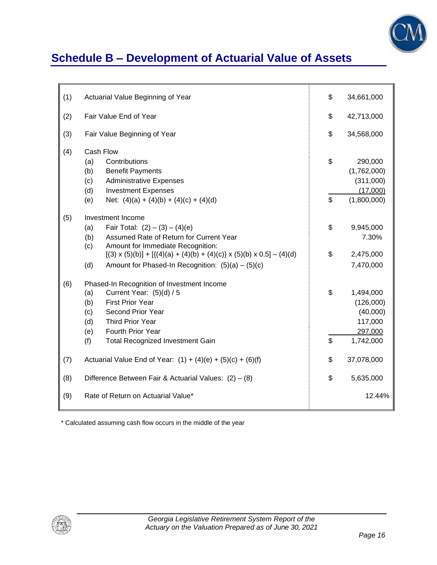

# **Schedule B – Development of Actuarial Value of Assets**

| (1) | Actuarial Value Beginning of Year                                                                                                                                                                                                                                                                                   | \$       | 34,661,000                                                            |
|-----|---------------------------------------------------------------------------------------------------------------------------------------------------------------------------------------------------------------------------------------------------------------------------------------------------------------------|----------|-----------------------------------------------------------------------|
| (2) | Fair Value End of Year                                                                                                                                                                                                                                                                                              | \$       | 42,713,000                                                            |
| (3) | Fair Value Beginning of Year                                                                                                                                                                                                                                                                                        | \$       | 34,568,000                                                            |
| (4) | Cash Flow<br>Contributions<br>(a)<br><b>Benefit Payments</b><br>(b)<br>(c)<br><b>Administrative Expenses</b><br>(d)<br><b>Investment Expenses</b><br>(e)<br>Net: $(4)(a) + (4)(b) + (4)(c) + (4)(d)$                                                                                                                | \$<br>\$ | 290,000<br>(1,762,000)<br>(311,000)<br>(17,000)<br>(1,800,000)        |
| (5) | Investment Income<br>Fair Total: $(2) - (3) - (4)(e)$<br>(a)<br>Assumed Rate of Return for Current Year<br>(b)<br>Amount for Immediate Recognition:<br>(c)<br>$[(3) \times (5)(b)] + [ {(4)(a) + (4)(b) + (4)(c)} \times (5)(b) \times 0.5] - (4)(d)$<br>(d)<br>Amount for Phased-In Recognition: $(5)(a) - (5)(c)$ | \$<br>\$ | 9,945,000<br>7.30%<br>2,475,000<br>7,470,000                          |
| (6) | Phased-In Recognition of Investment Income<br>Current Year: (5)(d) / 5<br>(a)<br><b>First Prior Year</b><br>(b)<br>Second Prior Year<br>(c)<br>Third Prior Year<br>(d)<br>Fourth Prior Year<br>(e)<br>(f)<br><b>Total Recognized Investment Gain</b>                                                                | \$<br>\$ | 1,494,000<br>(126,000)<br>(40,000)<br>117,000<br>297,000<br>1,742,000 |
| (7) | Actuarial Value End of Year: $(1) + (4)(e) + (5)(c) + (6)(f)$                                                                                                                                                                                                                                                       | \$       | 37,078,000                                                            |
| (8) | Difference Between Fair & Actuarial Values: $(2) - (8)$                                                                                                                                                                                                                                                             |          | 5,635,000                                                             |
| (9) | Rate of Return on Actuarial Value*                                                                                                                                                                                                                                                                                  |          | 12.44%                                                                |

\* Calculated assuming cash flow occurs in the middle of the year

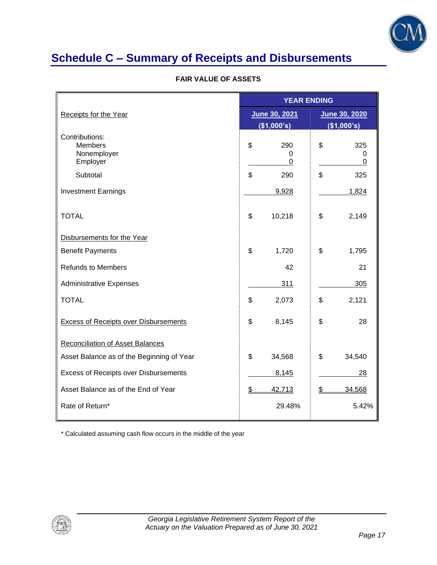

# **Schedule C – Summary of Receipts and Disbursements**

#### **FAIR VALUE OF ASSETS**

|                                                             | <b>YEAR ENDING</b>  |                                    |  |  |
|-------------------------------------------------------------|---------------------|------------------------------------|--|--|
| Receipts for the Year                                       | June 30, 2021       | June 30, 2020                      |  |  |
|                                                             | (\$1,000's)         | (\$1,000's)                        |  |  |
| Contributions:<br><b>Members</b><br>Nonemployer<br>Employer | \$<br>290<br>0<br>0 | \$<br>325<br>0<br>$\boldsymbol{0}$ |  |  |
| Subtotal                                                    | \$<br>290           | \$<br>325                          |  |  |
| <b>Investment Earnings</b>                                  | 9,928               | 1,824                              |  |  |
| <b>TOTAL</b>                                                | \$<br>10,218        | \$<br>2,149                        |  |  |
| Disbursements for the Year                                  |                     |                                    |  |  |
| <b>Benefit Payments</b>                                     | \$<br>1,720         | \$<br>1,795                        |  |  |
| <b>Refunds to Members</b>                                   | 42                  | 21                                 |  |  |
| <b>Administrative Expenses</b>                              | 311                 | 305                                |  |  |
| <b>TOTAL</b>                                                | \$<br>2,073         | \$<br>2,121                        |  |  |
| <b>Excess of Receipts over Disbursements</b>                | \$<br>8,145         | \$<br>28                           |  |  |
| <b>Reconciliation of Asset Balances</b>                     |                     |                                    |  |  |
| Asset Balance as of the Beginning of Year                   | \$<br>34,568        | \$<br>34,540                       |  |  |
| <b>Excess of Receipts over Disbursements</b>                | 8,145               | 28                                 |  |  |
| Asset Balance as of the End of Year                         | \$<br>42,713        | \$<br>34,568                       |  |  |
| Rate of Return*                                             | 29.48%              | 5.42%                              |  |  |

\* Calculated assuming cash flow occurs in the middle of the year

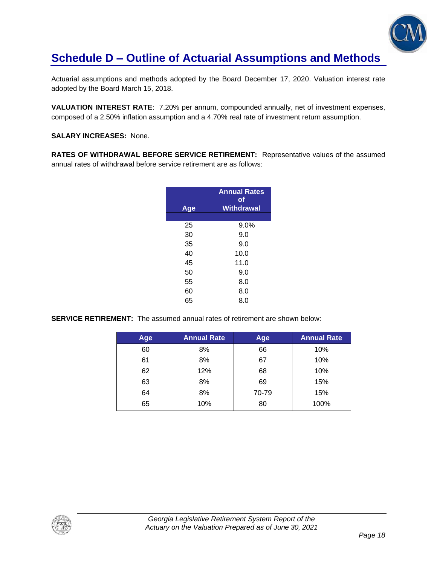

## **Schedule D – Outline of Actuarial Assumptions and Methods**

Actuarial assumptions and methods adopted by the Board December 17, 2020. Valuation interest rate adopted by the Board March 15, 2018.

**VALUATION INTEREST RATE**: 7.20% per annum, compounded annually, net of investment expenses, composed of a 2.50% inflation assumption and a 4.70% real rate of investment return assumption.

**SALARY INCREASES:** None.

**RATES OF WITHDRAWAL BEFORE SERVICE RETIREMENT:** Representative values of the assumed annual rates of withdrawal before service retirement are as follows:

|     | <b>Annual Rates</b><br>оf |
|-----|---------------------------|
| Age | Withdrawal                |
|     |                           |
| 25  | 9.0%                      |
| 30  | 9.0                       |
| 35  | 9.0                       |
| 40  | 10.0                      |
| 45  | 11.0                      |
| 50  | 9.0                       |
| 55  | 8.0                       |
| 60  | 8.0                       |
| 65  | 8.0                       |

**SERVICE RETIREMENT:** The assumed annual rates of retirement are shown below:

| Age | <b>Annual Rate</b> | Age   | <b>Annual Rate</b> |
|-----|--------------------|-------|--------------------|
| 60  | 8%                 | 66    | 10%                |
| 61  | 8%                 | 67    | 10%                |
| 62  | 12%                | 68    | 10%                |
| 63  | 8%                 | 69    | 15%                |
| 64  | 8%                 | 70-79 | 15%                |
| 65  | 10%                | 80    | 100%               |

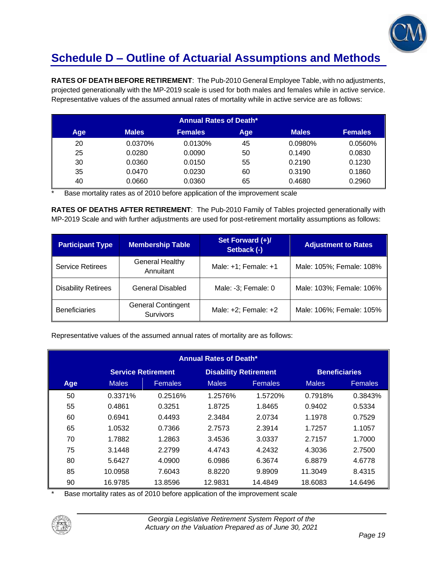

# **Schedule D – Outline of Actuarial Assumptions and Methods**

**RATES OF DEATH BEFORE RETIREMENT**: The Pub-2010 General Employee Table, with no adjustments, projected generationally with the MP-2019 scale is used for both males and females while in active service. Representative values of the assumed annual rates of mortality while in active service are as follows:

|     |              | <b>Annual Rates of Death*</b> |     |              |                |
|-----|--------------|-------------------------------|-----|--------------|----------------|
| Age | <b>Males</b> | <b>Females</b>                | Age | <b>Males</b> | <b>Females</b> |
| 20  | 0.0370%      | 0.0130%                       | 45  | 0.0980%      | 0.0560%        |
| 25  | 0.0280       | 0.0090                        | 50  | 0.1490       | 0.0830         |
| 30  | 0.0360       | 0.0150                        | 55  | 0.2190       | 0.1230         |
| 35  | 0.0470       | 0.0230                        | 60  | 0.3190       | 0.1860         |
| 40  | 0.0660       | 0.0360                        | 65  | 0.4680       | 0.2960         |

Base mortality rates as of 2010 before application of the improvement scale

**RATES OF DEATHS AFTER RETIREMENT**: The Pub-2010 Family of Tables projected generationally with MP-2019 Scale and with further adjustments are used for post-retirement mortality assumptions as follows:

| <b>Participant Type</b>    | <b>Membership Table</b>                       | Set Forward (+)/<br>Setback (-) | <b>Adjustment to Rates</b> |
|----------------------------|-----------------------------------------------|---------------------------------|----------------------------|
| <b>Service Retirees</b>    | <b>General Healthy</b><br>Annuitant           | Male: $+1$ ; Female: $+1$       | Male: 105%; Female: 108%   |
| <b>Disability Retirees</b> | General Disabled                              | Male: -3; Female: 0             | Male: 103%; Female: 106%   |
| <b>Beneficiaries</b>       | <b>General Contingent</b><br><b>Survivors</b> | Male: $+2$ ; Female: $+2$       | Male: 106%; Female: 105%   |

Representative values of the assumed annual rates of mortality are as follows:

| <b>Annual Rates of Death*</b> |                           |                |                              |                |                      |                |
|-------------------------------|---------------------------|----------------|------------------------------|----------------|----------------------|----------------|
|                               | <b>Service Retirement</b> |                | <b>Disability Retirement</b> |                | <b>Beneficiaries</b> |                |
| Age                           | <b>Males</b>              | <b>Females</b> | <b>Males</b>                 | <b>Females</b> | <b>Males</b>         | <b>Females</b> |
| 50                            | 0.3371%                   | 0.2516%        | 1.2576%                      | 1.5720%        | 0.7918%              | 0.3843%        |
| 55                            | 0.4861                    | 0.3251         | 1.8725                       | 1.8465         | 0.9402               | 0.5334         |
| 60                            | 0.6941                    | 0.4493         | 2.3484                       | 2.0734         | 1.1978               | 0.7529         |
| 65                            | 1.0532                    | 0.7366         | 2.7573                       | 2.3914         | 1.7257               | 1.1057         |
| 70                            | 1.7882                    | 1.2863         | 3.4536                       | 3.0337         | 2.7157               | 1.7000         |
| 75                            | 3.1448                    | 2.2799         | 4.4743                       | 4.2432         | 4.3036               | 2.7500         |
| 80                            | 5.6427                    | 4.0900         | 6.0986                       | 6.3674         | 6.8879               | 4.6778         |
| 85                            | 10.0958                   | 7.6043         | 8.8220                       | 9.8909         | 11.3049              | 8.4315         |
| 90                            | 16.9785                   | 13.8596        | 12.9831                      | 14.4849        | 18.6083              | 14.6496        |

Base mortality rates as of 2010 before application of the improvement scale

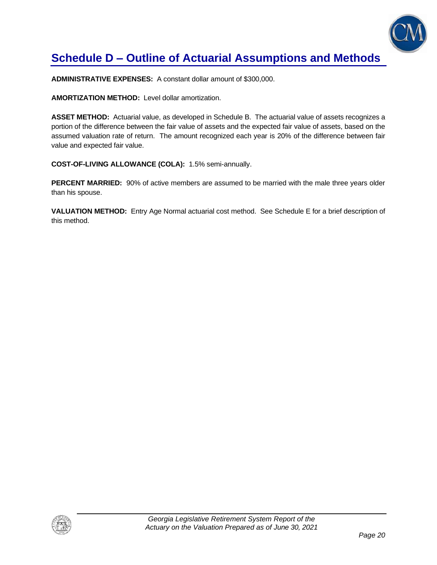

# **Schedule D – Outline of Actuarial Assumptions and Methods**

**ADMINISTRATIVE EXPENSES:** A constant dollar amount of \$300,000.

**AMORTIZATION METHOD:** Level dollar amortization.

**ASSET METHOD:** Actuarial value, as developed in Schedule B. The actuarial value of assets recognizes a portion of the difference between the fair value of assets and the expected fair value of assets, based on the assumed valuation rate of return. The amount recognized each year is 20% of the difference between fair value and expected fair value.

**COST-OF-LIVING ALLOWANCE (COLA):** 1.5% semi-annually.

**PERCENT MARRIED:** 90% of active members are assumed to be married with the male three years older than his spouse.

**VALUATION METHOD:** Entry Age Normal actuarial cost method. See Schedule E for a brief description of this method.

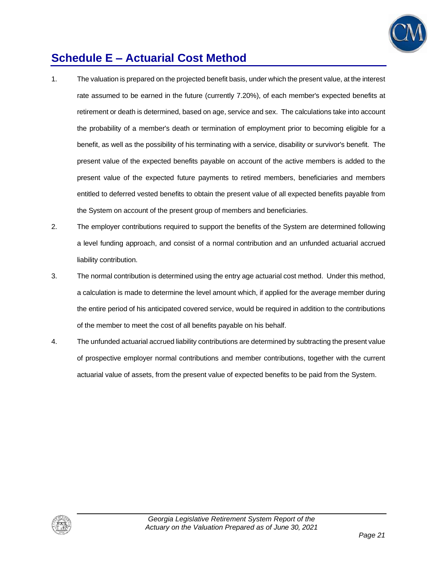

# **Schedule E – Actuarial Cost Method**

- 1. The valuation is prepared on the projected benefit basis, under which the present value, at the interest rate assumed to be earned in the future (currently 7.20%), of each member's expected benefits at retirement or death is determined, based on age, service and sex. The calculations take into account the probability of a member's death or termination of employment prior to becoming eligible for a benefit, as well as the possibility of his terminating with a service, disability or survivor's benefit. The present value of the expected benefits payable on account of the active members is added to the present value of the expected future payments to retired members, beneficiaries and members entitled to deferred vested benefits to obtain the present value of all expected benefits payable from the System on account of the present group of members and beneficiaries.
- 2. The employer contributions required to support the benefits of the System are determined following a level funding approach, and consist of a normal contribution and an unfunded actuarial accrued liability contribution.
- 3. The normal contribution is determined using the entry age actuarial cost method. Under this method, a calculation is made to determine the level amount which, if applied for the average member during the entire period of his anticipated covered service, would be required in addition to the contributions of the member to meet the cost of all benefits payable on his behalf.
- 4. The unfunded actuarial accrued liability contributions are determined by subtracting the present value of prospective employer normal contributions and member contributions, together with the current actuarial value of assets, from the present value of expected benefits to be paid from the System.

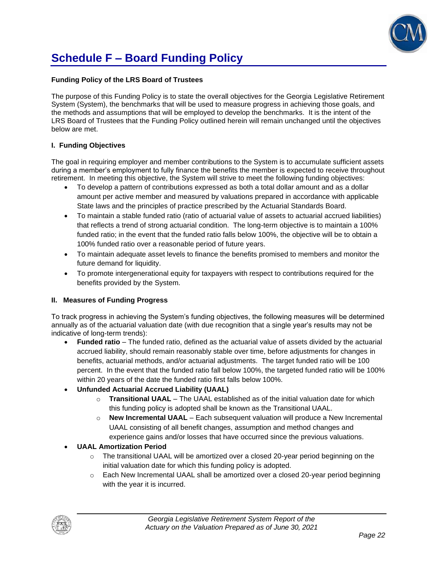

# **Schedule F – Board Funding Policy**

#### **Funding Policy of the LRS Board of Trustees**

The purpose of this Funding Policy is to state the overall objectives for the Georgia Legislative Retirement System (System), the benchmarks that will be used to measure progress in achieving those goals, and the methods and assumptions that will be employed to develop the benchmarks. It is the intent of the LRS Board of Trustees that the Funding Policy outlined herein will remain unchanged until the objectives below are met.

#### **I. Funding Objectives**

The goal in requiring employer and member contributions to the System is to accumulate sufficient assets during a member's employment to fully finance the benefits the member is expected to receive throughout retirement. In meeting this objective, the System will strive to meet the following funding objectives:

- To develop a pattern of contributions expressed as both a total dollar amount and as a dollar amount per active member and measured by valuations prepared in accordance with applicable State laws and the principles of practice prescribed by the Actuarial Standards Board.
- To maintain a stable funded ratio (ratio of actuarial value of assets to actuarial accrued liabilities) that reflects a trend of strong actuarial condition. The long-term objective is to maintain a 100% funded ratio; in the event that the funded ratio falls below 100%, the objective will be to obtain a 100% funded ratio over a reasonable period of future years.
- To maintain adequate asset levels to finance the benefits promised to members and monitor the future demand for liquidity.
- To promote intergenerational equity for taxpayers with respect to contributions required for the benefits provided by the System.

#### **II. Measures of Funding Progress**

To track progress in achieving the System's funding objectives, the following measures will be determined annually as of the actuarial valuation date (with due recognition that a single year's results may not be indicative of long-term trends):

- **Funded ratio** The funded ratio, defined as the actuarial value of assets divided by the actuarial accrued liability, should remain reasonably stable over time, before adjustments for changes in benefits, actuarial methods, and/or actuarial adjustments. The target funded ratio will be 100 percent. In the event that the funded ratio fall below 100%, the targeted funded ratio will be 100% within 20 years of the date the funded ratio first falls below 100%.
- **Unfunded Actuarial Accrued Liability (UAAL)**
	- o **Transitional UAAL** The UAAL established as of the initial valuation date for which this funding policy is adopted shall be known as the Transitional UAAL.
	- o **New Incremental UAAL** Each subsequent valuation will produce a New Incremental UAAL consisting of all benefit changes, assumption and method changes and experience gains and/or losses that have occurred since the previous valuations.

#### • **UAAL Amortization Period**

- $\circ$  The transitional UAAL will be amortized over a closed 20-year period beginning on the initial valuation date for which this funding policy is adopted.
- $\circ$  Each New Incremental UAAL shall be amortized over a closed 20-year period beginning with the year it is incurred.

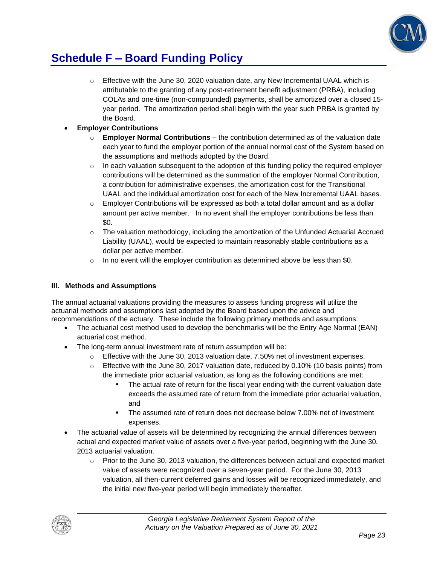

# **Schedule F – Board Funding Policy**

 $\circ$  Effective with the June 30, 2020 valuation date, any New Incremental UAAL which is attributable to the granting of any post-retirement benefit adjustment (PRBA), including COLAs and one-time (non-compounded) payments, shall be amortized over a closed 15 year period. The amortization period shall begin with the year such PRBA is granted by the Board.

### • **Employer Contributions**

- o **Employer Normal Contributions**  the contribution determined as of the valuation date each year to fund the employer portion of the annual normal cost of the System based on the assumptions and methods adopted by the Board.
- $\circ$  In each valuation subsequent to the adoption of this funding policy the required employer contributions will be determined as the summation of the employer Normal Contribution, a contribution for administrative expenses, the amortization cost for the Transitional UAAL and the individual amortization cost for each of the New Incremental UAAL bases.
- $\circ$  Employer Contributions will be expressed as both a total dollar amount and as a dollar amount per active member. In no event shall the employer contributions be less than \$0.
- o The valuation methodology, including the amortization of the Unfunded Actuarial Accrued Liability (UAAL), would be expected to maintain reasonably stable contributions as a dollar per active member.
- $\circ$  In no event will the employer contribution as determined above be less than \$0.

### **III. Methods and Assumptions**

The annual actuarial valuations providing the measures to assess funding progress will utilize the actuarial methods and assumptions last adopted by the Board based upon the advice and recommendations of the actuary. These include the following primary methods and assumptions:

- The actuarial cost method used to develop the benchmarks will be the Entry Age Normal (EAN) actuarial cost method.
- The long-term annual investment rate of return assumption will be:
	- $\circ$  Effective with the June 30, 2013 valuation date, 7.50% net of investment expenses.
	- $\circ$  Effective with the June 30, 2017 valuation date, reduced by 0.10% (10 basis points) from the immediate prior actuarial valuation, as long as the following conditions are met:
		- The actual rate of return for the fiscal year ending with the current valuation date exceeds the assumed rate of return from the immediate prior actuarial valuation, and
		- The assumed rate of return does not decrease below 7.00% net of investment expenses.
- The actuarial value of assets will be determined by recognizing the annual differences between actual and expected market value of assets over a five-year period, beginning with the June 30, 2013 actuarial valuation.
	- $\circ$  Prior to the June 30, 2013 valuation, the differences between actual and expected market value of assets were recognized over a seven-year period. For the June 30, 2013 valuation, all then-current deferred gains and losses will be recognized immediately, and the initial new five-year period will begin immediately thereafter.

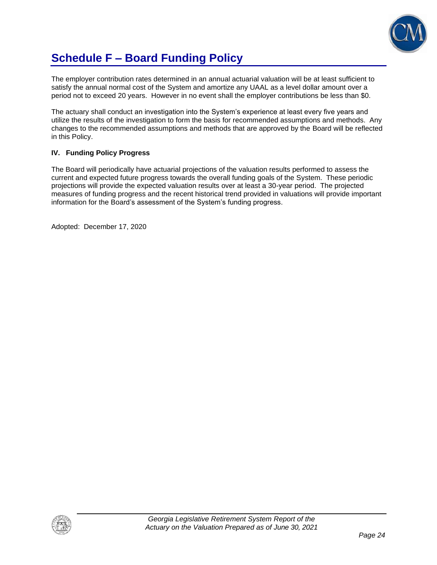

# **Schedule F – Board Funding Policy**

The employer contribution rates determined in an annual actuarial valuation will be at least sufficient to satisfy the annual normal cost of the System and amortize any UAAL as a level dollar amount over a period not to exceed 20 years. However in no event shall the employer contributions be less than \$0.

The actuary shall conduct an investigation into the System's experience at least every five years and utilize the results of the investigation to form the basis for recommended assumptions and methods. Any changes to the recommended assumptions and methods that are approved by the Board will be reflected in this Policy.

### **IV. Funding Policy Progress**

The Board will periodically have actuarial projections of the valuation results performed to assess the current and expected future progress towards the overall funding goals of the System. These periodic projections will provide the expected valuation results over at least a 30-year period. The projected measures of funding progress and the recent historical trend provided in valuations will provide important information for the Board's assessment of the System's funding progress.

Adopted: December 17, 2020

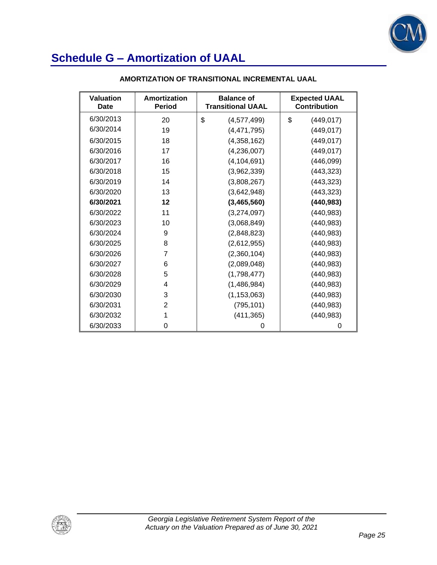

| Valuation<br>Date | Amortization<br><b>Period</b> | <b>Balance of</b><br><b>Transitional UAAL</b> | <b>Expected UAAL</b><br><b>Contribution</b> |
|-------------------|-------------------------------|-----------------------------------------------|---------------------------------------------|
| 6/30/2013         | 20                            | \$<br>(4,577,499)                             | \$<br>(449, 017)                            |
| 6/30/2014         | 19                            | (4,471,795)                                   | (449, 017)                                  |
| 6/30/2015         | 18                            | (4,358,162)                                   | (449, 017)                                  |
| 6/30/2016         | 17                            | (4,236,007)                                   | (449, 017)                                  |
| 6/30/2017         | 16                            | (4, 104, 691)                                 | (446, 099)                                  |
| 6/30/2018         | 15                            | (3,962,339)                                   | (443, 323)                                  |
| 6/30/2019         | 14                            | (3,808,267)                                   | (443, 323)                                  |
| 6/30/2020         | 13                            | (3,642,948)                                   | (443, 323)                                  |
| 6/30/2021         | 12                            | (3,465,560)                                   | (440, 983)                                  |
| 6/30/2022         | 11                            | (3,274,097)                                   | (440, 983)                                  |
| 6/30/2023         | 10                            | (3,068,849)                                   | (440, 983)                                  |
| 6/30/2024         | 9                             | (2,848,823)                                   | (440, 983)                                  |
| 6/30/2025         | 8                             | (2,612,955)                                   | (440, 983)                                  |
| 6/30/2026         | 7                             | (2,360,104)                                   | (440, 983)                                  |
| 6/30/2027         | 6                             | (2,089,048)                                   | (440, 983)                                  |
| 6/30/2028         | 5                             | (1,798,477)                                   | (440, 983)                                  |
| 6/30/2029         | 4                             | (1,486,984)                                   | (440, 983)                                  |
| 6/30/2030         | 3                             | (1, 153, 063)                                 | (440, 983)                                  |
| 6/30/2031         | 2                             | (795, 101)                                    | (440, 983)                                  |
| 6/30/2032         | 1                             | (411, 365)                                    | (440, 983)                                  |
| 6/30/2033         | 0                             | 0                                             | 0                                           |

#### **AMORTIZATION OF TRANSITIONAL INCREMENTAL UAAL**

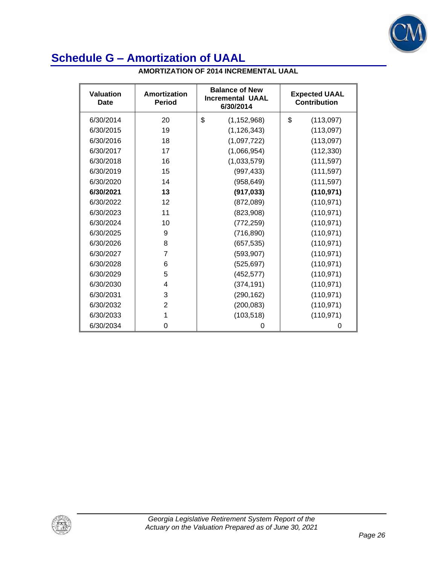

| <b>AMORTIZATION OF 2014 INCREMENTAL UAAL</b> |
|----------------------------------------------|
|----------------------------------------------|

| <b>Valuation</b><br>Date | Amortization<br><b>Period</b> | <b>Balance of New</b><br><b>Incremental UAAL</b><br>6/30/2014 | <b>Expected UAAL</b><br><b>Contribution</b> |
|--------------------------|-------------------------------|---------------------------------------------------------------|---------------------------------------------|
| 6/30/2014                | 20                            | \$<br>(1, 152, 968)                                           | \$<br>(113,097)                             |
| 6/30/2015                | 19                            | (1, 126, 343)                                                 | (113,097)                                   |
| 6/30/2016                | 18                            | (1,097,722)                                                   | (113,097)                                   |
| 6/30/2017                | 17                            | (1,066,954)                                                   | (112, 330)                                  |
| 6/30/2018                | 16                            | (1,033,579)                                                   | (111, 597)                                  |
| 6/30/2019                | 15                            | (997, 433)                                                    | (111, 597)                                  |
| 6/30/2020                | 14                            | (958, 649)                                                    | (111, 597)                                  |
| 6/30/2021                | 13                            | (917, 033)                                                    | (110, 971)                                  |
| 6/30/2022                | 12                            | (872,089)                                                     | (110, 971)                                  |
| 6/30/2023                | 11                            | (823,908)                                                     | (110, 971)                                  |
| 6/30/2024                | 10                            | (772, 259)                                                    | (110, 971)                                  |
| 6/30/2025                | 9                             | (716, 890)                                                    | (110, 971)                                  |
| 6/30/2026                | 8                             | (657, 535)                                                    | (110, 971)                                  |
| 6/30/2027                | 7                             | (593, 907)                                                    | (110, 971)                                  |
| 6/30/2028                | 6                             | (525, 697)                                                    | (110, 971)                                  |
| 6/30/2029                | 5                             | (452, 577)                                                    | (110, 971)                                  |
| 6/30/2030                | 4                             | (374, 191)                                                    | (110, 971)                                  |
| 6/30/2031                | 3                             | (290, 162)                                                    | (110, 971)                                  |
| 6/30/2032                | 2                             | (200, 083)                                                    | (110, 971)                                  |
| 6/30/2033                | 1                             | (103, 518)                                                    | (110, 971)                                  |
| 6/30/2034                | 0                             | 0                                                             | 0                                           |

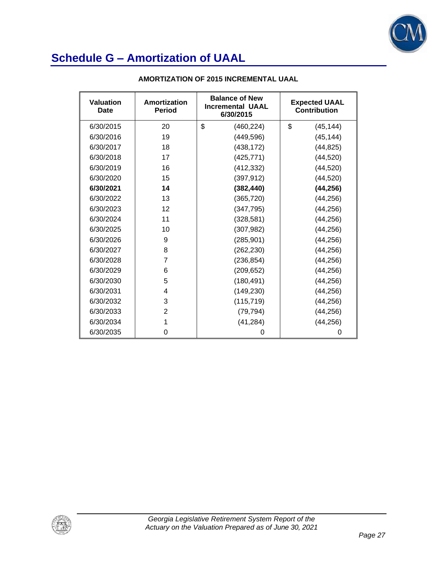

| <b>Valuation</b><br>Date | Amortization<br><b>Period</b> | <b>Balance of New</b><br><b>Incremental UAAL</b><br>6/30/2015 | <b>Expected UAAL</b><br><b>Contribution</b> |
|--------------------------|-------------------------------|---------------------------------------------------------------|---------------------------------------------|
| 6/30/2015                | 20                            | \$<br>(460, 224)                                              | \$<br>(45, 144)                             |
| 6/30/2016                | 19                            | (449, 596)                                                    | (45, 144)                                   |
| 6/30/2017                | 18                            | (438, 172)                                                    | (44, 825)                                   |
| 6/30/2018                | 17                            | (425, 771)                                                    | (44, 520)                                   |
| 6/30/2019                | 16                            | (412, 332)                                                    | (44, 520)                                   |
| 6/30/2020                | 15                            | (397, 912)                                                    | (44, 520)                                   |
| 6/30/2021                | 14                            | (382, 440)                                                    | (44, 256)                                   |
| 6/30/2022                | 13                            | (365, 720)                                                    | (44, 256)                                   |
| 6/30/2023                | 12                            | (347, 795)                                                    | (44, 256)                                   |
| 6/30/2024                | 11                            | (328, 581)                                                    | (44, 256)                                   |
| 6/30/2025                | 10                            | (307, 982)                                                    | (44, 256)                                   |
| 6/30/2026                | 9                             | (285, 901)                                                    | (44, 256)                                   |
| 6/30/2027                | 8                             | (262, 230)                                                    | (44, 256)                                   |
| 6/30/2028                | $\overline{7}$                | (236, 854)                                                    | (44, 256)                                   |
| 6/30/2029                | 6                             | (209, 652)                                                    | (44, 256)                                   |
| 6/30/2030                | 5                             | (180, 491)                                                    | (44, 256)                                   |
| 6/30/2031                | 4                             | (149, 230)                                                    | (44, 256)                                   |
| 6/30/2032                | 3                             | (115, 719)                                                    | (44, 256)                                   |
| 6/30/2033                | 2                             | (79, 794)                                                     | (44, 256)                                   |
| 6/30/2034                | 1                             | (41, 284)                                                     | (44, 256)                                   |
| 6/30/2035                | 0                             | 0                                                             | 0                                           |

#### **AMORTIZATION OF 2015 INCREMENTAL UAAL**

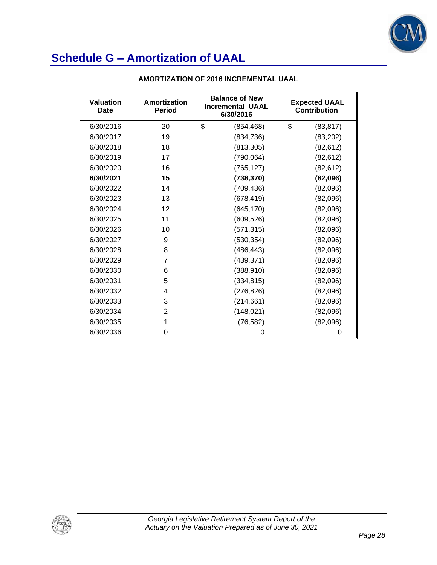

| <b>Valuation</b><br>Date | Amortization<br><b>Period</b> | <b>Balance of New</b><br><b>Incremental UAAL</b><br>6/30/2016 | <b>Expected UAAL</b><br><b>Contribution</b> |
|--------------------------|-------------------------------|---------------------------------------------------------------|---------------------------------------------|
| 6/30/2016                | 20                            | \$<br>(854, 468)                                              | \$<br>(83, 817)                             |
| 6/30/2017                | 19                            | (834, 736)                                                    | (83, 202)                                   |
| 6/30/2018                | 18                            | (813, 305)                                                    | (82, 612)                                   |
| 6/30/2019                | 17                            | (790, 064)                                                    | (82, 612)                                   |
| 6/30/2020                | 16                            | (765, 127)                                                    | (82, 612)                                   |
| 6/30/2021                | 15                            | (738, 370)                                                    | (82,096)                                    |
| 6/30/2022                | 14                            | (709, 436)                                                    | (82,096)                                    |
| 6/30/2023                | 13                            | (678, 419)                                                    | (82,096)                                    |
| 6/30/2024                | 12                            | (645, 170)                                                    | (82,096)                                    |
| 6/30/2025                | 11                            | (609, 526)                                                    | (82,096)                                    |
| 6/30/2026                | 10                            | (571, 315)                                                    | (82,096)                                    |
| 6/30/2027                | 9                             | (530, 354)                                                    | (82,096)                                    |
| 6/30/2028                | 8                             | (486, 443)                                                    | (82,096)                                    |
| 6/30/2029                | 7                             | (439, 371)                                                    | (82,096)                                    |
| 6/30/2030                | 6                             | (388, 910)                                                    | (82,096)                                    |
| 6/30/2031                | 5                             | (334, 815)                                                    | (82,096)                                    |
| 6/30/2032                | 4                             | (276, 826)                                                    | (82,096)                                    |
| 6/30/2033                | 3                             | (214, 661)                                                    | (82,096)                                    |
| 6/30/2034                | $\overline{2}$                | (148, 021)                                                    | (82,096)                                    |
| 6/30/2035                | 1                             | (76, 582)                                                     | (82,096)                                    |
| 6/30/2036                | 0                             | 0                                                             | 0                                           |

#### **AMORTIZATION OF 2016 INCREMENTAL UAAL**

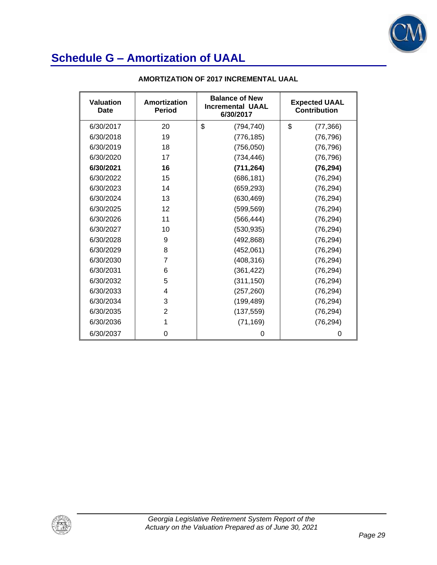

| <b>Valuation</b><br>Date | Amortization<br><b>Period</b> | <b>Balance of New</b><br><b>Incremental UAAL</b><br>6/30/2017 | <b>Expected UAAL</b><br><b>Contribution</b> |
|--------------------------|-------------------------------|---------------------------------------------------------------|---------------------------------------------|
| 6/30/2017                | 20                            | \$<br>(794, 740)                                              | \$<br>(77, 366)                             |
| 6/30/2018                | 19                            | (776, 185)                                                    | (76, 796)                                   |
| 6/30/2019                | 18                            | (756, 050)                                                    | (76, 796)                                   |
| 6/30/2020                | 17                            | (734, 446)                                                    | (76, 796)                                   |
| 6/30/2021                | 16                            | (711, 264)                                                    | (76, 294)                                   |
| 6/30/2022                | 15                            | (686, 181)                                                    | (76, 294)                                   |
| 6/30/2023                | 14                            | (659, 293)                                                    | (76, 294)                                   |
| 6/30/2024                | 13                            | (630, 469)                                                    | (76, 294)                                   |
| 6/30/2025                | 12                            | (599, 569)                                                    | (76, 294)                                   |
| 6/30/2026                | 11                            | (566, 444)                                                    | (76, 294)                                   |
| 6/30/2027                | 10                            | (530, 935)                                                    | (76, 294)                                   |
| 6/30/2028                | 9                             | (492, 868)                                                    | (76, 294)                                   |
| 6/30/2029                | 8                             | (452,061)                                                     | (76, 294)                                   |
| 6/30/2030                | $\overline{7}$                | (408, 316)                                                    | (76, 294)                                   |
| 6/30/2031                | 6                             | (361, 422)                                                    | (76, 294)                                   |
| 6/30/2032                | 5                             | (311, 150)                                                    | (76, 294)                                   |
| 6/30/2033                | 4                             | (257, 260)                                                    | (76, 294)                                   |
| 6/30/2034                | 3                             | (199, 489)                                                    | (76, 294)                                   |
| 6/30/2035                | 2                             | (137, 559)                                                    | (76, 294)                                   |
| 6/30/2036                | 1                             | (71, 169)                                                     | (76, 294)                                   |
| 6/30/2037                | 0                             | 0                                                             | 0                                           |

#### **AMORTIZATION OF 2017 INCREMENTAL UAAL**

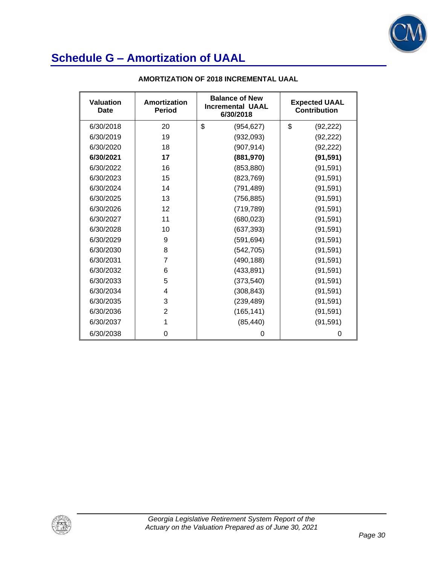

| <b>Valuation</b><br>Date | Amortization<br><b>Period</b> | <b>Balance of New</b><br><b>Incremental UAAL</b><br>6/30/2018 | <b>Expected UAAL</b><br>Contribution |
|--------------------------|-------------------------------|---------------------------------------------------------------|--------------------------------------|
| 6/30/2018                | 20                            | \$<br>(954, 627)                                              | \$<br>(92, 222)                      |
| 6/30/2019                | 19                            | (932,093)                                                     | (92, 222)                            |
| 6/30/2020                | 18                            | (907, 914)                                                    | (92, 222)                            |
| 6/30/2021                | 17                            | (881,970)                                                     | (91, 591)                            |
| 6/30/2022                | 16                            | (853, 880)                                                    | (91, 591)                            |
| 6/30/2023                | 15                            | (823, 769)                                                    | (91, 591)                            |
| 6/30/2024                | 14                            | (791, 489)                                                    | (91, 591)                            |
| 6/30/2025                | 13                            | (756, 885)                                                    | (91, 591)                            |
| 6/30/2026                | 12                            | (719, 789)                                                    | (91, 591)                            |
| 6/30/2027                | 11                            | (680, 023)                                                    | (91, 591)                            |
| 6/30/2028                | 10                            | (637, 393)                                                    | (91, 591)                            |
| 6/30/2029                | 9                             | (591, 694)                                                    | (91, 591)                            |
| 6/30/2030                | 8                             | (542, 705)                                                    | (91, 591)                            |
| 6/30/2031                | 7                             | (490, 188)                                                    | (91, 591)                            |
| 6/30/2032                | 6                             | (433, 891)                                                    | (91, 591)                            |
| 6/30/2033                | 5                             | (373, 540)                                                    | (91, 591)                            |
| 6/30/2034                | 4                             | (308, 843)                                                    | (91, 591)                            |
| 6/30/2035                | 3                             | (239, 489)                                                    | (91, 591)                            |
| 6/30/2036                | $\overline{2}$                | (165, 141)                                                    | (91, 591)                            |
| 6/30/2037                | 1                             | (85, 440)                                                     | (91, 591)                            |
| 6/30/2038                | 0                             | 0                                                             | 0                                    |

#### **AMORTIZATION OF 2018 INCREMENTAL UAAL**

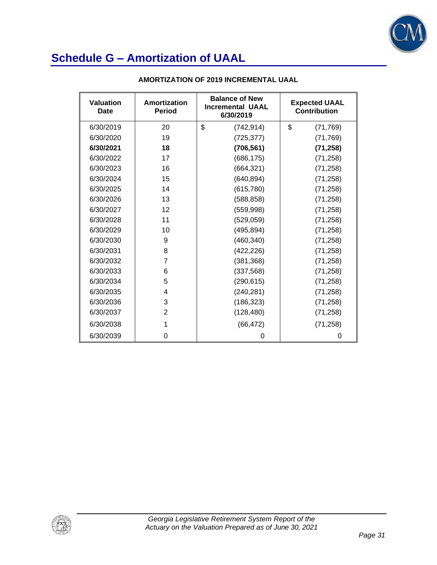

| Valuation<br>Date | Amortization<br><b>Period</b> | <b>Balance of New</b><br><b>Incremental UAAL</b><br>6/30/2019 | <b>Expected UAAL</b><br><b>Contribution</b> |
|-------------------|-------------------------------|---------------------------------------------------------------|---------------------------------------------|
| 6/30/2019         | 20                            | \$<br>(742, 914)                                              | \$<br>(71, 769)                             |
| 6/30/2020         | 19                            | (725, 377)                                                    | (71, 769)                                   |
| 6/30/2021         | 18                            | (706, 561)                                                    | (71, 258)                                   |
| 6/30/2022         | 17                            | (686, 175)                                                    | (71, 258)                                   |
| 6/30/2023         | 16                            | (664, 321)                                                    | (71, 258)                                   |
| 6/30/2024         | 15                            | (640, 894)                                                    | (71, 258)                                   |
| 6/30/2025         | 14                            | (615, 780)                                                    | (71, 258)                                   |
| 6/30/2026         | 13                            | (588, 858)                                                    | (71, 258)                                   |
| 6/30/2027         | 12                            | (559, 998)                                                    | (71, 258)                                   |
| 6/30/2028         | 11                            | (529, 059)                                                    | (71, 258)                                   |
| 6/30/2029         | 10                            | (495, 894)                                                    | (71, 258)                                   |
| 6/30/2030         | 9                             | (460, 340)                                                    | (71, 258)                                   |
| 6/30/2031         | 8                             | (422, 226)                                                    | (71, 258)                                   |
| 6/30/2032         | 7                             | (381, 368)                                                    | (71, 258)                                   |
| 6/30/2033         | 6                             | (337, 568)                                                    | (71, 258)                                   |
| 6/30/2034         | 5                             | (290, 615)                                                    | (71, 258)                                   |
| 6/30/2035         | 4                             | (240, 281)                                                    | (71, 258)                                   |
| 6/30/2036         | 3                             | (186, 323)                                                    | (71, 258)                                   |
| 6/30/2037         | 2                             | (128, 480)                                                    | (71, 258)                                   |
| 6/30/2038         | 1                             | (66, 472)                                                     | (71, 258)                                   |
| 6/30/2039         | 0                             | 0                                                             | 0                                           |

#### **AMORTIZATION OF 2019 INCREMENTAL UAAL**

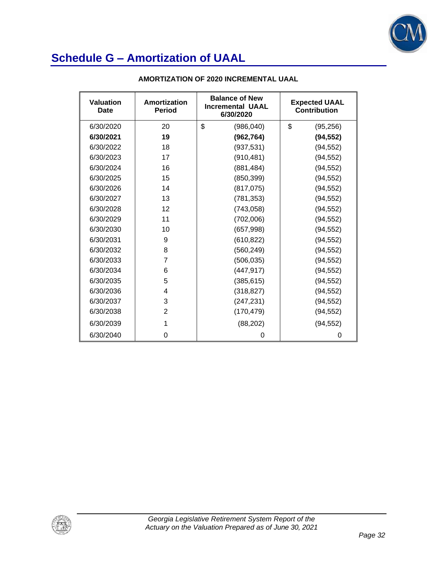

| <b>Valuation</b><br>Date | Amortization<br><b>Period</b> | <b>Balance of New</b><br><b>Incremental UAAL</b><br>6/30/2020 | <b>Expected UAAL</b><br>Contribution |
|--------------------------|-------------------------------|---------------------------------------------------------------|--------------------------------------|
| 6/30/2020                | 20                            | \$<br>(986, 040)                                              | \$<br>(95, 256)                      |
| 6/30/2021                | 19                            | (962, 764)                                                    | (94, 552)                            |
| 6/30/2022                | 18                            | (937, 531)                                                    | (94, 552)                            |
| 6/30/2023                | 17                            | (910, 481)                                                    | (94, 552)                            |
| 6/30/2024                | 16                            | (881, 484)                                                    | (94, 552)                            |
| 6/30/2025                | 15                            | (850, 399)                                                    | (94, 552)                            |
| 6/30/2026                | 14                            | (817, 075)                                                    | (94, 552)                            |
| 6/30/2027                | 13                            | (781, 353)                                                    | (94, 552)                            |
| 6/30/2028                | 12                            | (743, 058)                                                    | (94, 552)                            |
| 6/30/2029                | 11                            | (702,006)                                                     | (94, 552)                            |
| 6/30/2030                | 10                            | (657, 998)                                                    | (94, 552)                            |
| 6/30/2031                | 9                             | (610, 822)                                                    | (94, 552)                            |
| 6/30/2032                | 8                             | (560, 249)                                                    | (94, 552)                            |
| 6/30/2033                | 7                             | (506, 035)                                                    | (94, 552)                            |
| 6/30/2034                | 6                             | (447, 917)                                                    | (94, 552)                            |
| 6/30/2035                | 5                             | (385, 615)                                                    | (94, 552)                            |
| 6/30/2036                | 4                             | (318, 827)                                                    | (94, 552)                            |
| 6/30/2037                | 3                             | (247, 231)                                                    | (94, 552)                            |
| 6/30/2038                | $\overline{2}$                | (170, 479)                                                    | (94, 552)                            |
| 6/30/2039                |                               | (88, 202)                                                     | (94, 552)                            |
| 6/30/2040                | 0                             | 0                                                             | 0                                    |

#### **AMORTIZATION OF 2020 INCREMENTAL UAAL**

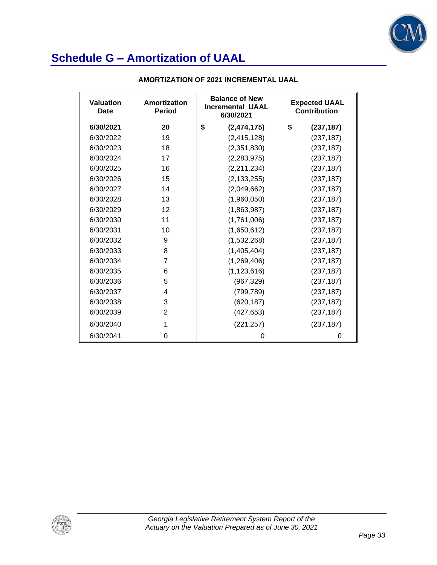

| <b>Valuation</b><br>Date | Amortization<br><b>Period</b> | <b>Balance of New</b><br><b>Incremental UAAL</b><br>6/30/2021 |               | <b>Expected UAAL</b><br><b>Contribution</b> |            |
|--------------------------|-------------------------------|---------------------------------------------------------------|---------------|---------------------------------------------|------------|
| 6/30/2021                | 20                            | \$                                                            | (2,474,175)   | \$                                          | (237, 187) |
| 6/30/2022                | 19                            |                                                               | (2, 415, 128) |                                             | (237, 187) |
| 6/30/2023                | 18                            |                                                               | (2,351,830)   |                                             | (237, 187) |
| 6/30/2024                | 17                            |                                                               | (2,283,975)   |                                             | (237, 187) |
| 6/30/2025                | 16                            |                                                               | (2,211,234)   |                                             | (237, 187) |
| 6/30/2026                | 15                            |                                                               | (2, 133, 255) |                                             | (237, 187) |
| 6/30/2027                | 14                            |                                                               | (2,049,662)   |                                             | (237, 187) |
| 6/30/2028                | 13                            |                                                               | (1,960,050)   |                                             | (237, 187) |
| 6/30/2029                | 12                            |                                                               | (1,863,987)   |                                             | (237, 187) |
| 6/30/2030                | 11                            |                                                               | (1,761,006)   |                                             | (237, 187) |
| 6/30/2031                | 10                            |                                                               | (1,650,612)   |                                             | (237, 187) |
| 6/30/2032                | 9                             |                                                               | (1,532,268)   |                                             | (237, 187) |
| 6/30/2033                | 8                             |                                                               | (1,405,404)   |                                             | (237, 187) |
| 6/30/2034                | 7                             |                                                               | (1,269,406)   |                                             | (237, 187) |
| 6/30/2035                | 6                             |                                                               | (1, 123, 616) |                                             | (237, 187) |
| 6/30/2036                | 5                             |                                                               | (967, 329)    |                                             | (237, 187) |
| 6/30/2037                | 4                             |                                                               | (799, 789)    |                                             | (237, 187) |
| 6/30/2038                | 3                             |                                                               | (620, 187)    |                                             | (237, 187) |
| 6/30/2039                | $\overline{2}$                |                                                               | (427, 653)    |                                             | (237, 187) |
| 6/30/2040                | 1                             |                                                               | (221, 257)    |                                             | (237, 187) |
| 6/30/2041                | 0                             |                                                               | 0             |                                             | 0          |

#### **AMORTIZATION OF 2021 INCREMENTAL UAAL**

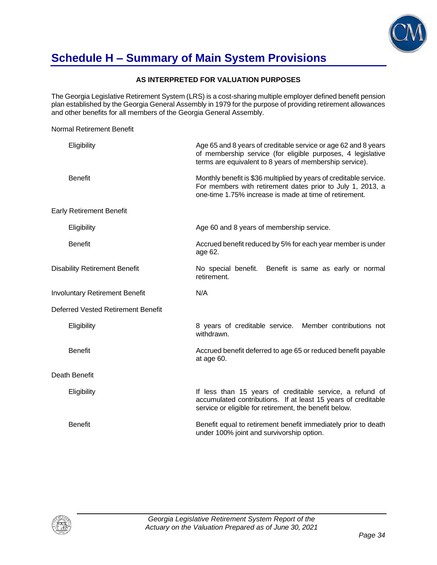

### **Schedule H – Summary of Main System Provisions**

Normal Retirement Benefit

#### **AS INTERPRETED FOR VALUATION PURPOSES**

The Georgia Legislative Retirement System (LRS) is a cost-sharing multiple employer defined benefit pension plan established by the Georgia General Assembly in 1979 for the purpose of providing retirement allowances and other benefits for all members of the Georgia General Assembly.

Eligibility Age 65 and 8 years of creditable service or age 62 and 8 years of membership service (for eligible purposes, 4 legislative terms are equivalent to 8 years of membership service). Benefit **Example 20 and The Monthly benefit is \$36 multiplied by years of creditable service.** For members with retirement dates prior to July 1, 2013, a one-time 1.75% increase is made at time of retirement. Early Retirement Benefit Eligibility **Age 60 and 8 years of membership service.** Benefit **Accrued benefit reduced by 5% for each year member is under** is under age 62. Disability Retirement Benefit No special benefit. Benefit is same as early or normal retirement. Involuntary Retirement Benefit N/A Deferred Vested Retirement Benefit Eligibility 8 years of creditable service. Member contributions not withdrawn. Benefit **Accrued benefit deferred to age 65 or reduced benefit payable Benefit** payable at age 60. Death Benefit Eligibility **If less than 15 years of creditable service**, a refund of accumulated contributions. If at least 15 years of creditable service or eligible for retirement, the benefit below. Benefit Benefit equal to retirement benefit immediately prior to death under 100% joint and survivorship option.

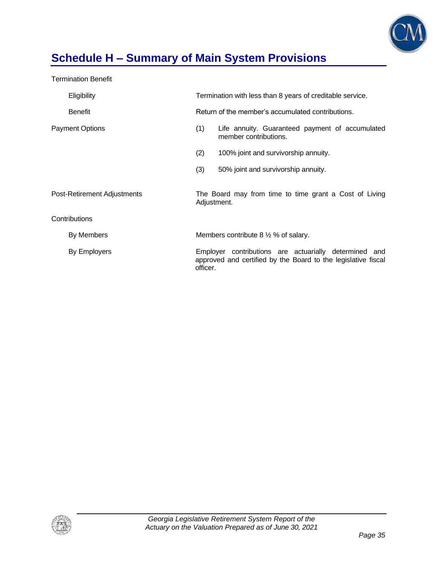

# **Schedule H – Summary of Main System Provisions**

Termination Benefit

| Eligibility                 | Termination with less than 8 years of creditable service.                                                                          |                                      |  |
|-----------------------------|------------------------------------------------------------------------------------------------------------------------------------|--------------------------------------|--|
| <b>Benefit</b>              | Return of the member's accumulated contributions.                                                                                  |                                      |  |
| <b>Payment Options</b>      | (1)<br>Life annuity. Guaranteed payment of accumulated<br>member contributions.                                                    |                                      |  |
|                             | (2)                                                                                                                                | 100% joint and survivorship annuity. |  |
|                             | (3)                                                                                                                                | 50% joint and survivorship annuity.  |  |
| Post-Retirement Adjustments | The Board may from time to time grant a Cost of Living<br>Adjustment.                                                              |                                      |  |
| Contributions               |                                                                                                                                    |                                      |  |
| By Members                  | Members contribute $8\frac{1}{2}\%$ of salary.                                                                                     |                                      |  |
| By Employers                | Employer contributions are actuarially determined and<br>approved and certified by the Board to the legislative fiscal<br>officer. |                                      |  |

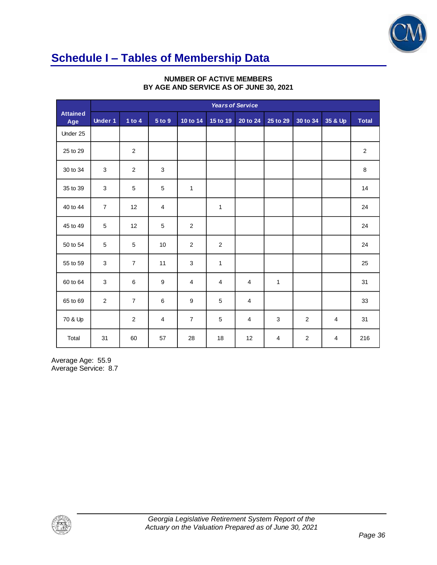

# **Schedule I – Tables of Membership Data**

|                        | <b>Years of Service</b>   |                |                |                         |                |                |                |                |         |              |
|------------------------|---------------------------|----------------|----------------|-------------------------|----------------|----------------|----------------|----------------|---------|--------------|
| <b>Attained</b><br>Age | <b>Under 1</b>            | 1 to $4$       | 5 to 9         | 10 to 14                | 15 to 19       | 20 to 24       | 25 to 29       | 30 to 34       | 35 & Up | <b>Total</b> |
| Under 25               |                           |                |                |                         |                |                |                |                |         |              |
| 25 to 29               |                           | $\overline{c}$ |                |                         |                |                |                |                |         | $\sqrt{2}$   |
| 30 to 34               | $\sqrt{3}$                | $\sqrt{2}$     | $\mathbf{3}$   |                         |                |                |                |                |         | 8            |
| 35 to 39               | 3                         | 5              | $\sqrt{5}$     | $\mathbf{1}$            |                |                |                |                |         | 14           |
| 40 to 44               | $\overline{7}$            | 12             | $\overline{4}$ |                         | 1              |                |                |                |         | 24           |
| 45 to 49               | 5                         | 12             | 5              | $\sqrt{2}$              |                |                |                |                |         | 24           |
| 50 to 54               | 5                         | 5              | 10             | $\overline{2}$          | $\overline{2}$ |                |                |                |         | 24           |
| 55 to 59               | 3                         | $\overline{7}$ | 11             | $\mathsf 3$             | $\mathbf{1}$   |                |                |                |         | 25           |
| 60 to 64               | $\ensuremath{\mathsf{3}}$ | 6              | 9              | $\overline{\mathbf{4}}$ | 4              | $\overline{4}$ | $\mathbf{1}$   |                |         | 31           |
| 65 to 69               | $\overline{2}$            | $\overline{7}$ | $\,6\,$        | $\boldsymbol{9}$        | 5              | $\overline{4}$ |                |                |         | 33           |
| 70 & Up                |                           | $\overline{c}$ | 4              | $\overline{7}$          | 5              | $\overline{4}$ | $\mathbf{3}$   | $\overline{2}$ | 4       | 31           |
| Total                  | 31                        | 60             | 57             | 28                      | 18             | 12             | $\overline{4}$ | $\overline{c}$ | 4       | 216          |

#### **NUMBER OF ACTIVE MEMBERS BY AGE AND SERVICE AS OF JUNE 30, 2021**

Average Age: 55.9 Average Service: 8.7

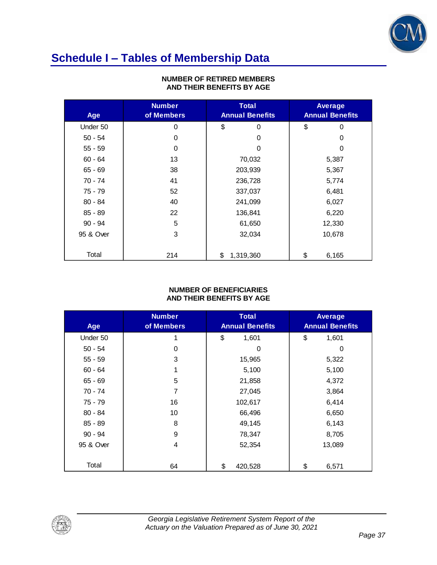

# **Schedule I – Tables of Membership Data**

| Age       | <b>Number</b><br>of Members | <b>Total</b><br><b>Annual Benefits</b> | <b>Average</b><br><b>Annual Benefits</b> |
|-----------|-----------------------------|----------------------------------------|------------------------------------------|
| Under 50  | 0                           | \$<br>0                                | \$<br>0                                  |
| $50 - 54$ | 0                           | 0                                      | 0                                        |
| $55 - 59$ | 0                           | 0                                      | 0                                        |
| $60 - 64$ | 13                          | 70,032                                 | 5,387                                    |
| $65 - 69$ | 38                          | 203,939                                | 5,367                                    |
| 70 - 74   | 41                          | 236,728                                | 5,774                                    |
| $75 - 79$ | 52                          | 337,037                                | 6,481                                    |
| $80 - 84$ | 40                          | 241,099                                | 6,027                                    |
| $85 - 89$ | 22                          | 136,841                                | 6,220                                    |
| $90 - 94$ | 5                           | 61,650                                 | 12,330                                   |
| 95 & Over | 3                           | 32,034                                 | 10,678                                   |
| Total     | 214                         | \$<br>1,319,360                        | \$<br>6,165                              |

#### **NUMBER OF RETIRED MEMBERS AND THEIR BENEFITS BY AGE**

#### **NUMBER OF BENEFICIARIES AND THEIR BENEFITS BY AGE**

| Age       | <b>Number</b><br>of Members | <b>Total</b><br><b>Annual Benefits</b> | <b>Average</b><br><b>Annual Benefits</b> |
|-----------|-----------------------------|----------------------------------------|------------------------------------------|
| Under 50  | 1                           | \$<br>1,601                            | \$<br>1,601                              |
| $50 - 54$ | 0                           | 0                                      | 0                                        |
| $55 - 59$ | 3                           | 15,965                                 | 5,322                                    |
| $60 - 64$ |                             | 5,100                                  | 5,100                                    |
| $65 - 69$ | 5                           | 21,858                                 | 4,372                                    |
| 70 - 74   | 7                           | 27,045                                 | 3,864                                    |
| 75 - 79   | 16                          | 102,617                                | 6,414                                    |
| $80 - 84$ | 10                          | 66,496                                 | 6,650                                    |
| $85 - 89$ | 8                           | 49,145                                 | 6,143                                    |
| $90 - 94$ | 9                           | 78,347                                 | 8,705                                    |
| 95 & Over | 4                           | 52,354                                 | 13,089                                   |
| Total     | 64                          | \$<br>420,528                          | \$<br>6,571                              |

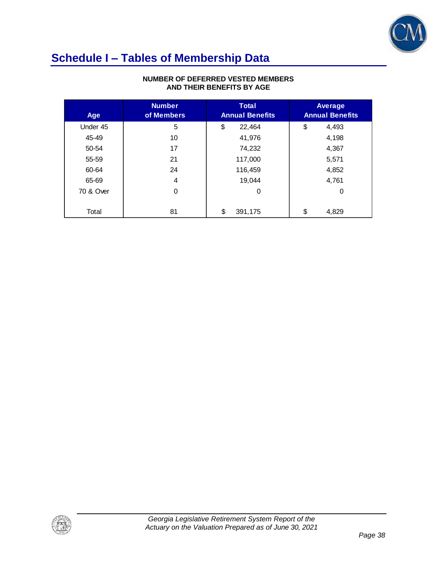

### **Schedule I – Tables of Membership Data**

| Age       | <b>Number</b><br>of Members | <b>Total</b><br><b>Annual Benefits</b> | <b>Average</b><br><b>Annual Benefits</b> |
|-----------|-----------------------------|----------------------------------------|------------------------------------------|
| Under 45  | 5                           | \$<br>22,464                           | \$<br>4,493                              |
| 45-49     | 10                          | 41,976                                 | 4,198                                    |
| 50-54     | 17                          | 74,232                                 | 4,367                                    |
| 55-59     | 21                          | 117,000                                | 5,571                                    |
| 60-64     | 24                          | 116,459                                | 4,852                                    |
| 65-69     | 4                           | 19.044                                 | 4,761                                    |
| 70 & Over | 0                           | $\Omega$                               | 0                                        |
|           |                             |                                        |                                          |
| Total     | 81                          | \$<br>391,175                          | \$<br>4,829                              |

#### **NUMBER OF DEFERRED VESTED MEMBERS AND THEIR BENEFITS BY AGE**